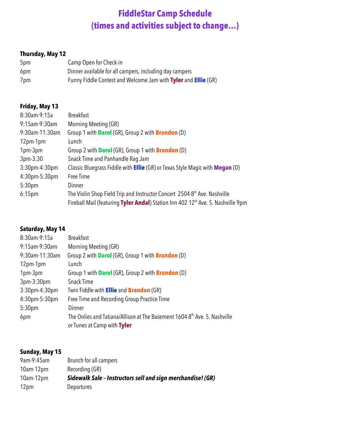# **FiddleStar Camp Schedule (times and activities subject to change…)**

## **Thursday, May 12**

| 5pm | Camp Open for Check-in                                         |
|-----|----------------------------------------------------------------|
| 6pm | Dinner available for all campers, including day campers        |
| 7pm | Funny Fiddle Contest and Welcome Jam with Tyler and Ellie (GR) |

## **Friday, May 13**

| 8:30am-9:15a       | <b>Breakfast</b>                                                                             |
|--------------------|----------------------------------------------------------------------------------------------|
| 9:15am-9:30am      | Morning Meeting (GR)                                                                         |
| 9:30am-11:30am     | Group 1 with <b>Darol</b> (GR), Group 2 with <b>Brandon</b> (D)                              |
| 12pm-1pm           | Lunch                                                                                        |
| 1pm-3pm            | Group 2 with <b>Darol</b> (GR), Group 1 with <b>Brandon</b> (D)                              |
| $3pm-3:30$         | Snack Time and Panhandle Raq Jam                                                             |
| $3:30$ pm-4:30pm   | Classic Bluegrass Fiddle with <b>Ellie</b> (GR) or Texas Style Magic with <b>Megan</b> (D)   |
| 4:30pm-5:30pm      | Free Time                                                                                    |
| 5:30pm             | Dinner                                                                                       |
| 6:15 <sub>pm</sub> | The Violin Shop Field Trip and Instructor Concert 2504 8 <sup>th</sup> Ave. Nashville        |
|                    | Fireball Mail (featuring Tyler Andal) Station Inn 402 12 <sup>th</sup> Ave. S. Nashville 9pm |

## **Saturday, May 14**

| 8:30am-9:15a       | <b>Breakfast</b>                                                                      |
|--------------------|---------------------------------------------------------------------------------------|
| 9:15am-9:30am      | Morning Meeting (GR)                                                                  |
| 9:30am-11:30am     | Group 2 with <b>Darol</b> (GR), Group 1 with <b>Brandon</b> (D)                       |
| $12pm-1pm$         | Lunch                                                                                 |
| 1pm-3pm            | Group 1 with <b>Darol</b> (GR), Group 2 with <b>Brandon</b> (D)                       |
| $3pm-3:30pm$       | Snack Time                                                                            |
| $3:30$ pm-4:30pm   | Twin Fiddle with <b>Ellie</b> and <b>Brandon</b> (GR)                                 |
| 4:30pm-5:30pm      | Free Time and Recording Group Practice Time                                           |
| 5:30 <sub>pm</sub> | Dinner                                                                                |
| 6pm                | The Onlies and Tatiana/Allison at The Basement 1604 8 <sup>th</sup> Ave. S. Nashville |
|                    | or Tunes at Camp with Tyler                                                           |

## **Sunday, May 15**

| 9am-9:45am       | Brunch for all campers                                      |
|------------------|-------------------------------------------------------------|
| $10$ am- $12$ pm | Recording (GR)                                              |
| $10$ am- $12$ pm | Sidewalk Sale - Instructors sell and sign merchandise! (GR) |
| 12pm             | Departures                                                  |